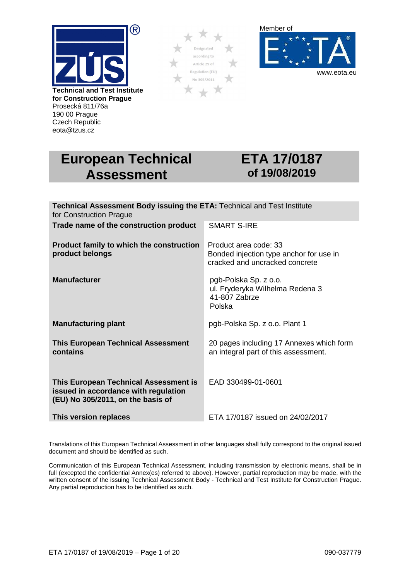

Prosecká 811/76a 190 00 Prague Czech Republic eota@tzus.cz





# **European Technical Assessment**

# **ETA 17/0187 of 19/08/2019**

| <b>Technical Assessment Body issuing the ETA: Technical and Test Institute</b><br>for Construction Prague          |                                                                                                    |
|--------------------------------------------------------------------------------------------------------------------|----------------------------------------------------------------------------------------------------|
| Trade name of the construction product                                                                             | <b>SMART S-IRE</b>                                                                                 |
| Product family to which the construction<br>product belongs                                                        | Product area code: 33<br>Bonded injection type anchor for use in<br>cracked and uncracked concrete |
| <b>Manufacturer</b>                                                                                                | pgb-Polska Sp. z o.o.<br>ul. Fryderyka Wilhelma Redena 3<br>41-807 Zabrze<br>Polska                |
| <b>Manufacturing plant</b>                                                                                         | pgb-Polska Sp. z o.o. Plant 1                                                                      |
| <b>This European Technical Assessment</b><br>contains                                                              | 20 pages including 17 Annexes which form<br>an integral part of this assessment.                   |
| This European Technical Assessment is<br>issued in accordance with regulation<br>(EU) No 305/2011, on the basis of | EAD 330499-01-0601                                                                                 |
| This version replaces                                                                                              | ETA 17/0187 issued on 24/02/2017                                                                   |

Translations of this European Technical Assessment in other languages shall fully correspond to the original issued document and should be identified as such.

Communication of this European Technical Assessment, including transmission by electronic means, shall be in full (excepted the confidential Annex(es) referred to above). However, partial reproduction may be made, with the written consent of the issuing Technical Assessment Body - Technical and Test Institute for Construction Prague. Any partial reproduction has to be identified as such.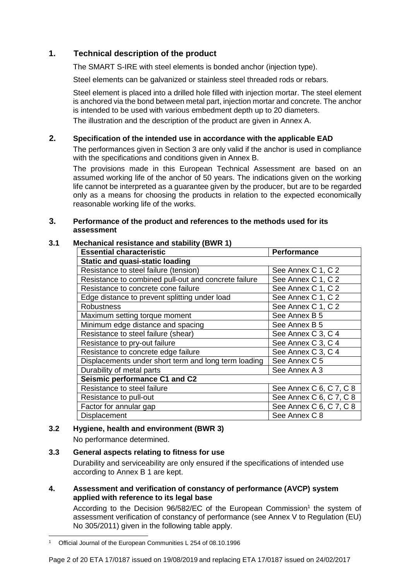# **1. Technical description of the product**

The SMART S-IRE with steel elements is bonded anchor (injection type).

Steel elements can be galvanized or stainless steel threaded rods or rebars.

Steel element is placed into a drilled hole filled with injection mortar. The steel element is anchored via the bond between metal part, injection mortar and concrete. The anchor is intended to be used with various embedment depth up to 20 diameters.

The illustration and the description of the product are given in Annex A.

#### **2. Specification of the intended use in accordance with the applicable EAD**

The performances given in Section 3 are only valid if the anchor is used in compliance with the specifications and conditions given in Annex B.

The provisions made in this European Technical Assessment are based on an assumed working life of the anchor of 50 years. The indications given on the working life cannot be interpreted as a guarantee given by the producer, but are to be regarded only as a means for choosing the products in relation to the expected economically reasonable working life of the works.

#### **3. Performance of the product and references to the methods used for its assessment**

#### **3.1 Mechanical resistance and stability (BWR 1)**

| <b>Essential characteristic</b>                      | <b>Performance</b>      |
|------------------------------------------------------|-------------------------|
| <b>Static and quasi-static loading</b>               |                         |
| Resistance to steel failure (tension)                | See Annex C 1, C 2      |
| Resistance to combined pull-out and concrete failure | See Annex C 1, C 2      |
| Resistance to concrete cone failure                  | See Annex C 1, C 2      |
| Edge distance to prevent splitting under load        | See Annex C 1, C 2      |
| <b>Robustness</b>                                    | See Annex C 1, C 2      |
| Maximum setting torque moment                        | See Annex B 5           |
| Minimum edge distance and spacing                    | See Annex B 5           |
| Resistance to steel failure (shear)                  | See Annex C 3, C 4      |
| Resistance to pry-out failure                        | See Annex C 3, C 4      |
| Resistance to concrete edge failure                  | See Annex C 3, C 4      |
| Displacements under short term and long term loading | See Annex C 5           |
| Durability of metal parts                            | See Annex A 3           |
| Seismic performance C1 and C2                        |                         |
| Resistance to steel failure                          | See Annex C 6, C 7, C 8 |
| Resistance to pull-out                               | See Annex C 6, C 7, C 8 |
| Factor for annular gap                               | See Annex C 6, C 7, C 8 |
| Displacement                                         | See Annex C 8           |

# **3.2 Hygiene, health and environment (BWR 3)**

No performance determined.

# **3.3 General aspects relating to fitness for use**

Durability and serviceability are only ensured if the specifications of intended use according to Annex B 1 are kept.

**4. Assessment and verification of constancy of performance (AVCP) system applied with reference to its legal base** 

According to the Decision  $96/582/EC$  of the European Commission<sup>1</sup> the system of assessment verification of constancy of performance (see Annex V to Regulation (EU) No 305/2011) given in the following table apply.

<sup>&</sup>lt;sup>1</sup> Official Journal of the European Communities L 254 of 08.10.1996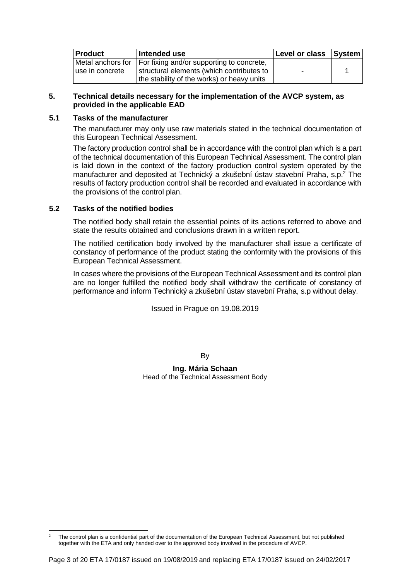| <b>Product</b>                        | Intended use                                                                                                                         | Level or class System |  |
|---------------------------------------|--------------------------------------------------------------------------------------------------------------------------------------|-----------------------|--|
| Metal anchors for<br>luse in concrete | For fixing and/or supporting to concrete,<br>structural elements (which contributes to<br>the stability of the works) or heavy units |                       |  |

#### **5. Technical details necessary for the implementation of the AVCP system, as provided in the applicable EAD**

#### **5.1 Tasks of the manufacturer**

The manufacturer may only use raw materials stated in the technical documentation of this European Technical Assessment.

The factory production control shall be in accordance with the control plan which is a part of the technical documentation of this European Technical Assessment. The control plan is laid down in the context of the factory production control system operated by the manufacturer and deposited at Technický a zkušební ústav stavební Praha, s.p.<sup>2</sup> The results of factory production control shall be recorded and evaluated in accordance with the provisions of the control plan.

#### **5.2 Tasks of the notified bodies**

The notified body shall retain the essential points of its actions referred to above and state the results obtained and conclusions drawn in a written report.

The notified certification body involved by the manufacturer shall issue a certificate of constancy of performance of the product stating the conformity with the provisions of this European Technical Assessment.

In cases where the provisions of the European Technical Assessment and its control plan are no longer fulfilled the notified body shall withdraw the certificate of constancy of performance and inform Technický a zkušební ústav stavební Praha, s.p without delay.

Issued in Prague on 19.08.2019

By

**Ing. Mária Schaan**  Head of the Technical Assessment Body

 $\overline{a}$ 2 The control plan is a confidential part of the documentation of the European Technical Assessment, but not published together with the ETA and only handed over to the approved body involved in the procedure of AVCP.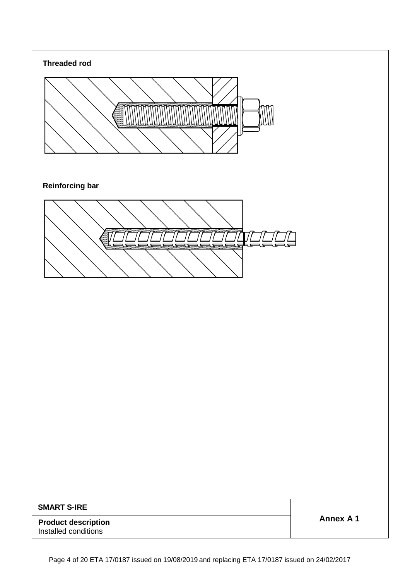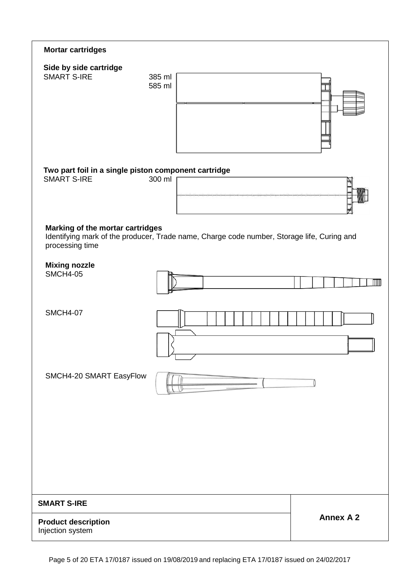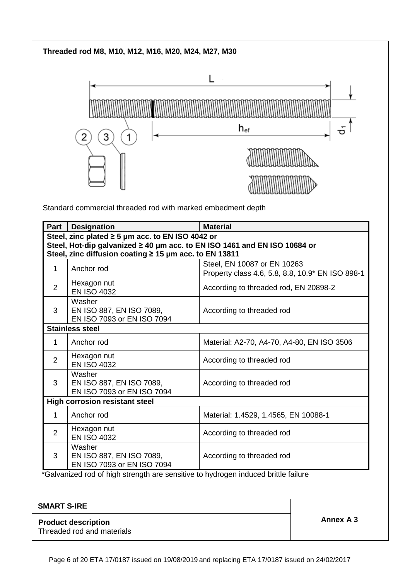# **Threaded rod M8, M10, M12, M16, M20, M24, M27, M30**



Standard commercial threaded rod with marked embedment depth

| Part           | <b>Designation</b>                                                                 | <b>Material</b>                                                                 |
|----------------|------------------------------------------------------------------------------------|---------------------------------------------------------------------------------|
|                | Steel, zinc plated $\geq 5$ µm acc. to EN ISO 4042 or                              |                                                                                 |
|                | Steel, Hot-dip galvanized ≥ 40 µm acc. to EN ISO 1461 and EN ISO 10684 or          |                                                                                 |
|                | Steel, zinc diffusion coating ≥ 15 µm acc. to EN 13811                             |                                                                                 |
| 1              | Anchor rod                                                                         | Steel, EN 10087 or EN 10263<br>Property class 4.6, 5.8, 8.8, 10.9* EN ISO 898-1 |
| 2              | Hexagon nut<br><b>EN ISO 4032</b>                                                  | According to threaded rod, EN 20898-2                                           |
| 3              | Washer<br>EN ISO 887, EN ISO 7089,<br>EN ISO 7093 or EN ISO 7094                   | According to threaded rod                                                       |
|                | <b>Stainless steel</b>                                                             |                                                                                 |
| 1              | Anchor rod                                                                         | Material: A2-70, A4-70, A4-80, EN ISO 3506                                      |
| $\overline{2}$ | Hexagon nut<br><b>EN ISO 4032</b>                                                  | According to threaded rod                                                       |
| 3              | Washer<br>EN ISO 887, EN ISO 7089,<br>EN ISO 7093 or EN ISO 7094                   | According to threaded rod                                                       |
|                | <b>High corrosion resistant steel</b>                                              |                                                                                 |
| 1.             | Anchor rod                                                                         | Material: 1.4529, 1.4565, EN 10088-1                                            |
| 2              | Hexagon nut<br><b>EN ISO 4032</b>                                                  | According to threaded rod                                                       |
| 3              | Washer<br>EN ISO 887, EN ISO 7089,<br>EN ISO 7093 or EN ISO 7094                   | According to threaded rod                                                       |
|                | *Galvanized rod of high strength are sensitive to hydrogen induced brittle failure |                                                                                 |

#### **SMART S-IRE**

**Annex A 3 Product description Annex A 3** Threaded rod and materials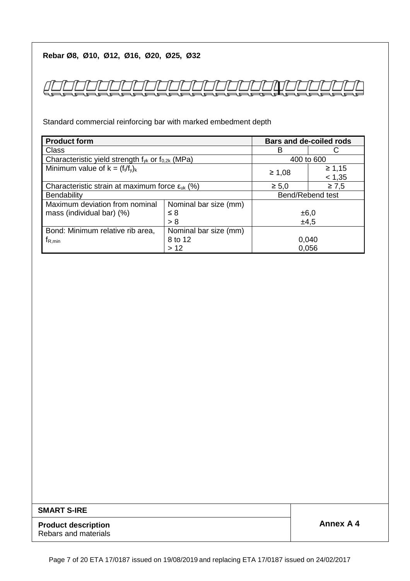# **Rebar Ø8, Ø10, Ø12, Ø16, Ø20, Ø25, Ø32**

Standard commercial reinforcing bar with marked embedment depth

| <b>Product form</b>                                                                                                                                                    |                       |       | <b>Bars and de-coiled rods</b> |
|------------------------------------------------------------------------------------------------------------------------------------------------------------------------|-----------------------|-------|--------------------------------|
| Class<br>в<br>Characteristic yield strength $f_{vk}$ or $f_{0.2k}$ (MPa)<br>$\geq 1,08$<br>Characteristic strain at maximum force $\varepsilon_{uk}$ (%)<br>$\geq 5.0$ |                       |       |                                |
|                                                                                                                                                                        |                       |       | 400 to 600                     |
| Minimum value of $k = (f_t/f_v)_k$                                                                                                                                     |                       |       | $\geq 1,15$                    |
|                                                                                                                                                                        |                       |       | < 1,35                         |
|                                                                                                                                                                        |                       |       | $\geq 7,5$                     |
| <b>Bendability</b>                                                                                                                                                     |                       |       | Bend/Rebend test               |
| Maximum deviation from nominal                                                                                                                                         | Nominal bar size (mm) |       |                                |
| mass (individual bar) (%)                                                                                                                                              | $\leq 8$              | ±6,0  |                                |
|                                                                                                                                                                        | > 8                   | ±4,5  |                                |
| Bond: Minimum relative rib area,                                                                                                                                       | Nominal bar size (mm) |       |                                |
| $t_{R,min}$                                                                                                                                                            | 8 to 12               | 0,040 |                                |
|                                                                                                                                                                        | >12                   | 0,056 |                                |

#### **SMART S-IRE**

**Product description** <br> **Product description** Rebars and materials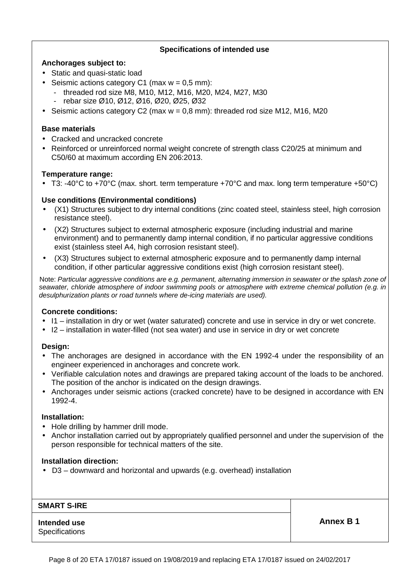#### **Specifications of intended use**

#### **Anchorages subject to:**

- Static and quasi-static load
- Seismic actions category C1 (max  $w = 0.5$  mm):
	- threaded rod size M8, M10, M12, M16, M20, M24, M27, M30
		- rebar size Ø10, Ø12, Ø16, Ø20, Ø25, Ø32
- Seismic actions category C2 (max  $w = 0.8$  mm): threaded rod size M12, M16, M20

#### **Base materials**

- Cracked and uncracked concrete
- Reinforced or unreinforced normal weight concrete of strength class C20/25 at minimum and C50/60 at maximum according EN 206:2013.

#### **Temperature range:**

• T3: -40°C to +70°C (max. short. term temperature +70°C and max. long term temperature +50°C)

#### **Use conditions (Environmental conditions)**

- (X1) Structures subject to dry internal conditions (zinc coated steel, stainless steel, high corrosion resistance steel).
- (X2) Structures subject to external atmospheric exposure (including industrial and marine environment) and to permanently damp internal condition, if no particular aggressive conditions exist (stainless steel A4, high corrosion resistant steel).
- (X3) Structures subject to external atmospheric exposure and to permanently damp internal condition, if other particular aggressive conditions exist (high corrosion resistant steel).

 Note: Particular aggressive conditions are e.g. permanent, alternating immersion in seawater or the splash zone of seawater, chloride atmosphere of indoor swimming pools or atmosphere with extreme chemical pollution (e.g. in desulphurization plants or road tunnels where de-icing materials are used).

#### **Concrete conditions:**

- I1 installation in dry or wet (water saturated) concrete and use in service in dry or wet concrete.
- I2 installation in water-filled (not sea water) and use in service in dry or wet concrete

#### **Design:**

- The anchorages are designed in accordance with the EN 1992-4 under the responsibility of an engineer experienced in anchorages and concrete work.
- Verifiable calculation notes and drawings are prepared taking account of the loads to be anchored. The position of the anchor is indicated on the design drawings.
- Anchorages under seismic actions (cracked concrete) have to be designed in accordance with EN 1992-4.

#### **Installation:**

- Hole drilling by hammer drill mode.
- Anchor installation carried out by appropriately qualified personnel and under the supervision of the person responsible for technical matters of the site.

#### **Installation direction:**

• D3 – downward and horizontal and upwards (e.g. overhead) installation

#### **SMART S-IRE**

#### **Intended use Annex B 1 Specifications**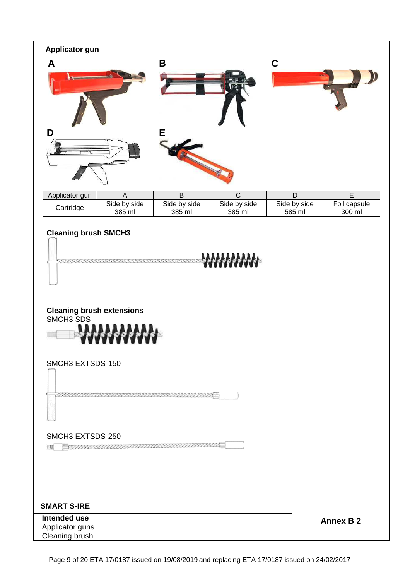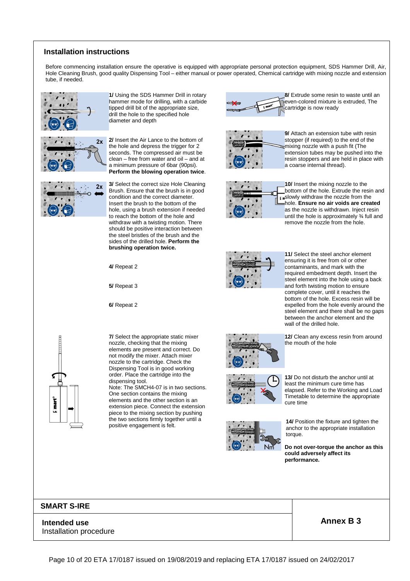#### **Installation instructions**

Before commencing installation ensure the operative is equipped with appropriate personal protection equipment, SDS Hammer Drill, Air, Hole Cleaning Brush, good quality Dispensing Tool – either manual or power operated, Chemical cartridge with mixing nozzle and extension tube, if needed.



**1/** Using the SDS Hammer Drill in rotary hammer mode for drilling, with a carbide tipped drill bit of the appropriate size, drill the hole to the specified hole diameter and depth





**2/** Insert the Air Lance to the bottom of the hole and depress the trigger for 2 seconds. The compressed air must be clean – free from water and oil – and at a minimum pressure of 6bar (90psi). **Perform the blowing operation twice**.

**3/** Select the correct size Hole Cleaning Brush. Ensure that the brush is in good condition and the correct diameter. Insert the brush to the bottom of the hole, using a brush extension if needed to reach the bottom of the hole and withdraw with a twisting motion. There should be positive interaction between the steel bristles of the brush and the sides of the drilled hole. **Perform the brushing operation twice.**

**4/** Repeat 2

**5/** Repeat 3

**6/** Repeat 2

**7/** Select the appropriate static mixer nozzle, checking that the mixing elements are present and correct. Do not modify the mixer. Attach mixer nozzle to the cartridge. Check the Dispensing Tool is in good working order. Place the cartridge into the dispensing tool.

Note: The SMCH4-07 is in two sections. One section contains the mixing elements and the other section is an extension piece. Connect the extension piece to the mixing section by pushing the two sections firmly together until a positive engagement is felt.





**9/** Attach an extension tube with resin stopper (if required) to the end of the amixing nozzle with a push fit (The extension tubes may be pushed into the resin stoppers and are held in place with a coarse internal thread).



**10/** Insert the mixing nozzle to the bottom of the hole. Extrude the resin and **Finally withdraw the nozzle from the** hole. **Ensure no air voids are created** as the nozzle is withdrawn. Inject resin until the hole is approximately 3⁄4 full and remove the nozzle from the hole.



**11/** Select the steel anchor element ensuring it is free from oil or other contaminants, and mark with the required embedment depth. Insert the steel element into the hole using a back and forth twisting motion to ensure complete cover, until it reaches the bottom of the hole. Excess resin will be expelled from the hole evenly around the steel element and there shall be no gaps between the anchor element and the wall of the drilled hole.



**12/** Clean any excess resin from around the mouth of the hole



**13/** Do not disturb the anchor until at least the minimum cure time has elapsed. Refer to the Working and Load Timetable to determine the appropriate cure time



**14/** Position the fixture and tighten the anchor to the appropriate installation torque.

**Do not over-torque the anchor as this could adversely affect its performance.**

#### **SMART S-IRE**

mart°

**Intended use Annex B 3** Installation procedure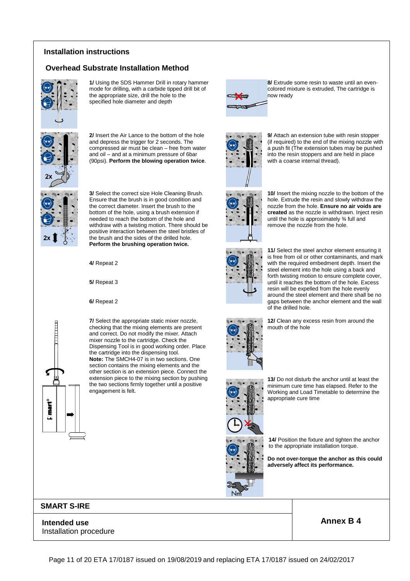#### **Installation instructions**

#### **Overhead Substrate Installation Method**



**1/** Using the SDS Hammer Drill in rotary hammer mode for drilling, with a carbide tipped drill bit of the appropriate size, drill the hole to the specified hole diameter and depth



**2/** Insert the Air Lance to the bottom of the hole and depress the trigger for 2 seconds. The compressed air must be clean – free from water and oil – and at a minimum pressure of 6bar (90psi). **Perform the blowing operation twice**.



**3/** Select the correct size Hole Cleaning Brush. Ensure that the brush is in good condition and the correct diameter. Insert the brush to the bottom of the hole, using a brush extension if needed to reach the bottom of the hole and withdraw with a twisting motion. There should be positive interaction between the steel bristles of the brush and the sides of the drilled hole. **Perform the brushing operation twice.**

**4/** Repeat 2

**5/** Repeat 3

**6/** Repeat 2

mart<sup>o</sup> K.

checking that the mixing elements are present and correct. Do not modify the mixer. Attach mixer nozzle to the cartridge. Check the Dispensing Tool is in good working order. Place the cartridge into the dispensing tool. **Note:** The SMCH4-07 is in two sections. One section contains the mixing elements and the other section is an extension piece. Connect the extension piece to the mixing section by pushing the two sections firmly together until a positive engagement is felt.

**7/** Select the appropriate static mixer nozzle,



**8/** Extrude some resin to waste until an evencolored mixture is extruded, The cartridge is now ready

**9/** Attach an extension tube with resin stopper (if required) to the end of the mixing nozzle with a push fit (The extension tubes may be pushed into the resin stoppers and are held in place

with a coarse internal thread).



**10/** Insert the mixing nozzle to the bottom of the hole. Extrude the resin and slowly withdraw the nozzle from the hole. **Ensure no air voids are created** as the nozzle is withdrawn. Inject resin until the hole is approximately ¾ full and remove the nozzle from the hole.



**11/** Select the steel anchor element ensuring it is free from oil or other contaminants, and mark with the required embedment depth. Insert the steel element into the hole using a back and forth twisting motion to ensure complete cover, until it reaches the bottom of the hole. Excess resin will be expelled from the hole evenly around the steel element and there shall be no gaps between the anchor element and the wall of the drilled hole.

**12/** Clean any excess resin from around the mouth of the hole



**13/** Do not disturb the anchor until at least the minimum cure time has elapsed. Refer to the Working and Load Timetable to determine the appropriate cure time

**14/** Position the fixture and tighten the anchor to the appropriate installation torque.

**Do not over-torque the anchor as this could adversely affect its performance.**

**SMART S-IRE**

**Intended use Annex B 4** Installation procedure



Page 11 of 20 ETA 17/0187 issued on 19/08/2019 and replacing ETA 17/0187 issued on 24/02/2017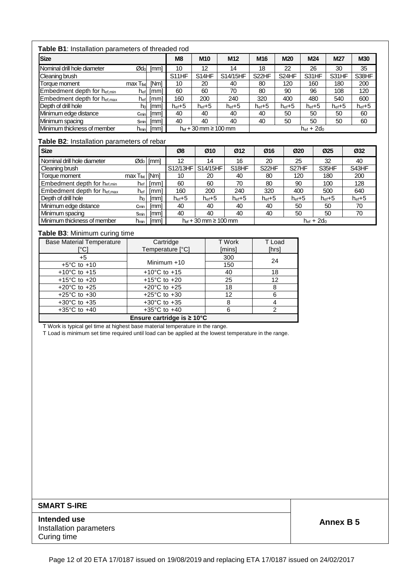| <b>Table B1:</b> Installation parameters of threaded rod |
|----------------------------------------------------------|
|                                                          |

| <b>. apic D</b> o.aao paramotoro or un oadod rod |                  |             |                     |                                       |                     |                     |                     |                     |                     |                     |
|--------------------------------------------------|------------------|-------------|---------------------|---------------------------------------|---------------------|---------------------|---------------------|---------------------|---------------------|---------------------|
| <b>Size</b>                                      |                  |             | M8                  | M <sub>10</sub>                       | M <sub>12</sub>     | M <sub>16</sub>     | <b>M20</b>          | M <sub>24</sub>     | M27                 | M30                 |
| Nominal drill hole diameter                      | $\varnothing$ do | [mm]        | 10                  | 12                                    | 14                  | 18                  | 22                  | 26                  | 30                  | 35                  |
| Cleaning brush                                   |                  |             | S11HF               | S14HF                                 | S14/15HF            | S <sub>22</sub> HF  | S <sub>24</sub> HF  | S31HF               | S31HF               | S38HF               |
| Torque moment                                    | max Tfixt        | <b>INml</b> | 10                  | 20                                    | 40                  | 80                  | 120                 | 160                 | 180                 | 200                 |
| Embedment depth for hef, min                     | $h_{\text{ef}}$  | [mm]        | 60                  | 60                                    | 70                  | 80                  | 90                  | 96                  | 108                 | 120                 |
| Embedment depth for het, max                     | hefl             | [mm]        | 160                 | 200                                   | 240                 | 320                 | 400                 | 480                 | 540                 | 600                 |
| Depth of drill hole                              | hol              | [mm]        | $h_{\text{ef}} + 5$ | $h_{\text{ef}} + 5$                   | $h_{\text{ef}} + 5$ | $h_{\text{ef}} + 5$ | $h_{\text{ef}} + 5$ | $h_{\text{ef}} + 5$ | $h_{\text{ef}} + 5$ | $h_{\text{ef}} + 5$ |
| Minimum edge distance                            | Cmin             | [mm]        | 40                  | 40                                    | 40                  | 40                  | 50                  | 50                  | 50                  | 60                  |
| Minimum spacing                                  | Sminl            | [mm]        | 40                  | 40                                    | 40                  | 40                  | 50                  | 50                  | 50                  | 60                  |
| Minimum thickness of member                      | $h_{min}$        | [mm]        |                     | $h_{\text{ef}} + 30$ mm $\geq 100$ mm |                     |                     |                     | $hef + 2do$         |                     |                     |

#### **Table B2**: Installation parameters of rebar

| <b>Size</b>                             |                             |                         | Ø8                  | Ø10                       | Ø12                 | Ø16                 | Ø20                 | Ø <sub>25</sub>     | Ø32                 |
|-----------------------------------------|-----------------------------|-------------------------|---------------------|---------------------------|---------------------|---------------------|---------------------|---------------------|---------------------|
| Nominal drill hole diameter             |                             | $\varnothing$ do   [mm] | 12                  | 14                        | 16                  | 20                  | 25                  | 32                  | 40                  |
| Cleaning brush                          |                             |                         | S12/13HF            | S14/15HF                  | S18HF               | S <sub>22</sub> HF  | S <sub>27</sub> HF  | S35HF               | S43HF               |
| Torque moment                           | $max$ $T_{\text{fix}}$ [Nm] |                         | 10                  | 20                        | 40                  | 80                  | 120                 | 180                 | 200                 |
| Embedment depth for het,min             | h <sub>ef</sub>             | [mm]                    | 60                  | 60                        | 70                  | 80                  | 90                  | 100                 | 128                 |
| Embedment depth for $h_{\text{ef,max}}$ | h <sub>ef</sub>             | [mm]                    | 160                 | 200                       | 240                 | 320                 | 400                 | 500                 | 640                 |
| Depth of drill hole                     | $h_0$                       | [mm]                    | $h_{\text{ef}} + 5$ | $h_{\text{ef}}+5$         | $h_{\text{ef}} + 5$ | $h_{\text{ef}} + 5$ | $h_{\text{ef}} + 5$ | $h_{\text{ef}} + 5$ | $h_{\text{ef}} + 5$ |
| Minimum edge distance                   | Cmin                        | [mm]                    | 40                  | 40                        | 40                  | 40                  | 50                  | 50                  | 70                  |
| Minimum spacing                         | Smin                        | [mm]                    | 40                  | 40                        | 40                  | 40                  | 50                  | 50                  | 70                  |
| Minimum thickness of member             | h <sub>min</sub>            | [mm]                    |                     | het + 30 mm $\geq$ 100 mm |                     |                     |                     | $hef + 2do$         |                     |

#### **Table B3**: Minimum curing time

| <b>Base Material Temperature</b><br>[°C] | Cartridge<br>Temperature [°C]           | T Work<br>[mins] | T Load<br>[hrs] |
|------------------------------------------|-----------------------------------------|------------------|-----------------|
| +5<br>$+5^{\circ}$ C to $+10$            | Minimum $+10$                           | 300<br>150       | 24              |
| +10 $^{\circ}$ C to +15                  | +10 $^{\circ}$ C to +15                 | 40               | 18              |
| +15 $^{\circ}$ C to +20                  | +15 $^{\circ}$ C to +20                 | 25               | 12              |
| +20 $^{\circ}$ C to +25                  | +20 $^{\circ}$ C to +25                 | 18               | 8               |
| +25 $^{\circ}$ C to +30                  | +25 $^{\circ}$ C to +30                 | 12               | 6               |
| +30 $^{\circ}$ C to +35                  | +30 $^{\circ}$ C to +35                 | 8                |                 |
| +35 $^{\circ}$ C to +40                  | +35 $^{\circ}$ C to +40                 | 6                | 2               |
|                                          | Ensure cartridge is $\geq 10^{\circ}$ C |                  |                 |

T Work is typical gel time at highest base material temperature in the range.

T Load is minimum set time required until load can be applied at the lowest temperature in the range.

#### **SMART S-IRE**

**Intended use** <br> **Annex B 5** Installation parameters Curing time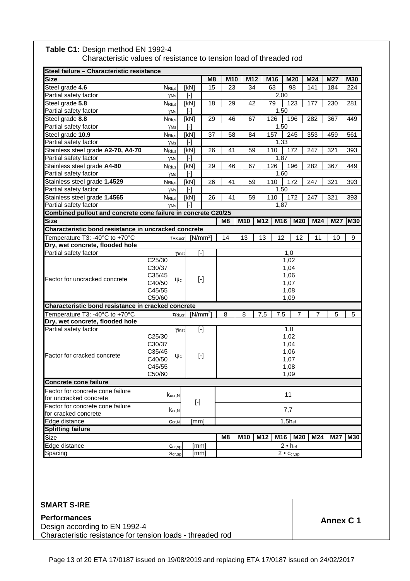| Steel failure - Characteristic resistance                          |                                  |                                                                                                                                                                                                                                                                                                                                                                                                                                                                                                                                                                                                                                                                                                                                                                                                                                                                                          |                        |                |     |     |             |                                                                    |     |     |            |
|--------------------------------------------------------------------|----------------------------------|------------------------------------------------------------------------------------------------------------------------------------------------------------------------------------------------------------------------------------------------------------------------------------------------------------------------------------------------------------------------------------------------------------------------------------------------------------------------------------------------------------------------------------------------------------------------------------------------------------------------------------------------------------------------------------------------------------------------------------------------------------------------------------------------------------------------------------------------------------------------------------------|------------------------|----------------|-----|-----|-------------|--------------------------------------------------------------------|-----|-----|------------|
| <b>Size</b>                                                        |                                  |                                                                                                                                                                                                                                                                                                                                                                                                                                                                                                                                                                                                                                                                                                                                                                                                                                                                                          | M8                     | M10            | M12 |     | M16         | M20                                                                | M24 | M27 | <b>M30</b> |
| Steel grade 4.6                                                    | $N_{Rk,s}$                       | [kN]                                                                                                                                                                                                                                                                                                                                                                                                                                                                                                                                                                                                                                                                                                                                                                                                                                                                                     | 15                     | 23             | 34  |     | 63          | 98                                                                 | 141 | 184 | 224        |
| Partial safety factor                                              | YMs                              | $[$                                                                                                                                                                                                                                                                                                                                                                                                                                                                                                                                                                                                                                                                                                                                                                                                                                                                                      |                        |                |     |     | 2,00        |                                                                    |     |     |            |
| Steel grade 5.8                                                    | N <sub>Rk,s</sub>                | [kN]                                                                                                                                                                                                                                                                                                                                                                                                                                                                                                                                                                                                                                                                                                                                                                                                                                                                                     | 18                     | 29             | 42  |     | 79          | 123                                                                | 177 | 230 | 281        |
| Partial safety factor                                              | YMs                              | $[\cdot]$                                                                                                                                                                                                                                                                                                                                                                                                                                                                                                                                                                                                                                                                                                                                                                                                                                                                                |                        |                |     |     | 1,50        |                                                                    |     |     |            |
| Steel grade 8.8                                                    | N <sub>Rk,s</sub>                | [kN]                                                                                                                                                                                                                                                                                                                                                                                                                                                                                                                                                                                                                                                                                                                                                                                                                                                                                     | 29                     | 46             | 67  |     | 126         | 196                                                                | 282 | 367 | 449        |
| Partial safety factor                                              | $\gamma$ Ms                      | $[\cdot] % \centering \includegraphics[width=0.9\columnwidth]{figures/fig_10.pdf} \caption{The graph $\mathcal{N}_1$ is a function of the number of~\textit{N}_1$ and the number of~\textit{N}_2$ is a function of the number of~\textit{N}_1$ (top) and the number of~\textit{N}_2$ (bottom) and the number of~\textit{N}_1$ (bottom) and the number of~\textit{N}_2$ (bottom) and the number of~\textit{N}_1$ (bottom) and the number of~\textit{N}_2$ (bottom) and the number of~\textit{N}_1$ (bottom) and the number of~\textit{N}_2$ (bottom) and the number of~\textit{N}_1$ (bottom) and the number$                                                                                                                                                                                                                                                                             |                        |                |     |     | 1,50        |                                                                    |     |     |            |
| Steel grade 10.9<br>Partial safety factor                          | $N_{\rm Rk,s}$                   | [kN]<br>$[$                                                                                                                                                                                                                                                                                                                                                                                                                                                                                                                                                                                                                                                                                                                                                                                                                                                                              | 37                     | 58             | 84  |     | 157<br>1,33 | 245                                                                | 353 | 459 | 561        |
| Stainless steel grade A2-70, A4-70                                 | $\gamma$ Ms<br>N <sub>Rk,s</sub> | [kN]                                                                                                                                                                                                                                                                                                                                                                                                                                                                                                                                                                                                                                                                                                                                                                                                                                                                                     | 26                     | 41             | 59  |     | 110         | 172                                                                | 247 | 321 | 393        |
| Partial safety factor                                              | YMs                              | $[\cdot]$                                                                                                                                                                                                                                                                                                                                                                                                                                                                                                                                                                                                                                                                                                                                                                                                                                                                                |                        |                |     |     | 1,87        |                                                                    |     |     |            |
| Stainless steel grade A4-80                                        | N <sub>Rk,s</sub>                | [kN]                                                                                                                                                                                                                                                                                                                                                                                                                                                                                                                                                                                                                                                                                                                                                                                                                                                                                     | 29                     | 46             | 67  |     | 126         | 196                                                                | 282 | 367 | 449        |
| Partial safety factor                                              | $\gamma$ Ms                      | $[\cdot]$                                                                                                                                                                                                                                                                                                                                                                                                                                                                                                                                                                                                                                                                                                                                                                                                                                                                                |                        |                |     |     | 1,60        |                                                                    |     |     |            |
| Stainless steel grade 1.4529                                       | $N_{\rm Rk,s}$                   | [kN]                                                                                                                                                                                                                                                                                                                                                                                                                                                                                                                                                                                                                                                                                                                                                                                                                                                                                     | 26                     | 41             | 59  |     | 110         | 172                                                                | 247 | 321 | 393        |
| Partial safety factor                                              | $\gamma$ Ms                      | $[\cdot]$                                                                                                                                                                                                                                                                                                                                                                                                                                                                                                                                                                                                                                                                                                                                                                                                                                                                                |                        |                |     |     | 1,50        |                                                                    |     |     |            |
| Stainless steel grade 1.4565                                       | $N_{\rm Rk,s}$                   | [kN]                                                                                                                                                                                                                                                                                                                                                                                                                                                                                                                                                                                                                                                                                                                                                                                                                                                                                     | 26                     | 41             | 59  |     | 110         | 172                                                                | 247 | 321 | 393        |
| Partial safety factor                                              | $\gamma$ <sub>Ms</sub>           | I-l                                                                                                                                                                                                                                                                                                                                                                                                                                                                                                                                                                                                                                                                                                                                                                                                                                                                                      |                        |                |     |     | 1,87        |                                                                    |     |     |            |
| Combined pullout and concrete cone failure in concrete C20/25      |                                  |                                                                                                                                                                                                                                                                                                                                                                                                                                                                                                                                                                                                                                                                                                                                                                                                                                                                                          |                        |                |     |     |             |                                                                    |     |     |            |
| <b>Size</b>                                                        |                                  |                                                                                                                                                                                                                                                                                                                                                                                                                                                                                                                                                                                                                                                                                                                                                                                                                                                                                          |                        | M8             | M10 | M12 | M16         | M20                                                                | M24 | M27 | <b>M30</b> |
| Characteristic bond resistance in uncracked concrete               |                                  |                                                                                                                                                                                                                                                                                                                                                                                                                                                                                                                                                                                                                                                                                                                                                                                                                                                                                          |                        |                |     |     |             |                                                                    |     |     |            |
| Temperature T3: -40°C to +70°C                                     | $TRk,$ ucr                       |                                                                                                                                                                                                                                                                                                                                                                                                                                                                                                                                                                                                                                                                                                                                                                                                                                                                                          | $[N/mm^2]$             | 14             | 13  | 13  | 12          | 12                                                                 | 11  | 10  | 9          |
| Dry, wet concrete, flooded hole                                    |                                  |                                                                                                                                                                                                                                                                                                                                                                                                                                                                                                                                                                                                                                                                                                                                                                                                                                                                                          |                        |                |     |     |             |                                                                    |     |     |            |
| Partial safety factor                                              |                                  | Yinst                                                                                                                                                                                                                                                                                                                                                                                                                                                                                                                                                                                                                                                                                                                                                                                                                                                                                    | $\lceil - \rceil$      |                |     |     |             | 1,0                                                                |     |     |            |
|                                                                    | C25/30                           |                                                                                                                                                                                                                                                                                                                                                                                                                                                                                                                                                                                                                                                                                                                                                                                                                                                                                          |                        |                |     |     |             | 1,02                                                               |     |     |            |
|                                                                    | C30/37                           |                                                                                                                                                                                                                                                                                                                                                                                                                                                                                                                                                                                                                                                                                                                                                                                                                                                                                          |                        |                |     |     |             | 1,04                                                               |     |     |            |
| Factor for uncracked concrete                                      | C35/45                           |                                                                                                                                                                                                                                                                                                                                                                                                                                                                                                                                                                                                                                                                                                                                                                                                                                                                                          | $[\cdot]$              |                |     |     |             | 1,06                                                               |     |     |            |
|                                                                    | Ψc<br>C40/50                     |                                                                                                                                                                                                                                                                                                                                                                                                                                                                                                                                                                                                                                                                                                                                                                                                                                                                                          |                        |                |     |     |             | 1,07                                                               |     |     |            |
|                                                                    | C45/55                           |                                                                                                                                                                                                                                                                                                                                                                                                                                                                                                                                                                                                                                                                                                                                                                                                                                                                                          |                        |                |     |     |             | 1,08                                                               |     |     |            |
|                                                                    | C50/60                           |                                                                                                                                                                                                                                                                                                                                                                                                                                                                                                                                                                                                                                                                                                                                                                                                                                                                                          |                        |                |     |     |             | 1,09                                                               |     |     |            |
| Characteristic bond resistance in cracked concrete                 |                                  |                                                                                                                                                                                                                                                                                                                                                                                                                                                                                                                                                                                                                                                                                                                                                                                                                                                                                          |                        |                |     |     |             |                                                                    |     |     |            |
| Temperature T3: -40°C to +70°C                                     | TRk, cr                          |                                                                                                                                                                                                                                                                                                                                                                                                                                                                                                                                                                                                                                                                                                                                                                                                                                                                                          | $[N/mm^2]$             | 8              | 8   | 7,5 | 7,5         | 7                                                                  | 7   | 5   | 5          |
| Dry, wet concrete, flooded hole                                    |                                  |                                                                                                                                                                                                                                                                                                                                                                                                                                                                                                                                                                                                                                                                                                                                                                                                                                                                                          |                        |                |     |     |             |                                                                    |     |     |            |
| Partial safety factor                                              |                                  | Yinst                                                                                                                                                                                                                                                                                                                                                                                                                                                                                                                                                                                                                                                                                                                                                                                                                                                                                    | $\overline{[} \cdot ]$ |                |     |     |             | 1,0                                                                |     |     |            |
|                                                                    | C25/30<br>C30/37                 |                                                                                                                                                                                                                                                                                                                                                                                                                                                                                                                                                                                                                                                                                                                                                                                                                                                                                          |                        |                |     |     |             | 1,02<br>1,04                                                       |     |     |            |
|                                                                    | C35/45                           |                                                                                                                                                                                                                                                                                                                                                                                                                                                                                                                                                                                                                                                                                                                                                                                                                                                                                          |                        |                |     |     |             | 1,06                                                               |     |     |            |
| Factor for cracked concrete                                        | $\Psi$ c<br>C40/50               |                                                                                                                                                                                                                                                                                                                                                                                                                                                                                                                                                                                                                                                                                                                                                                                                                                                                                          | $[\cdot]$              |                |     |     |             | 1,07                                                               |     |     |            |
|                                                                    | C45/55                           |                                                                                                                                                                                                                                                                                                                                                                                                                                                                                                                                                                                                                                                                                                                                                                                                                                                                                          |                        |                |     |     |             | 1,08                                                               |     |     |            |
|                                                                    | C50/60                           |                                                                                                                                                                                                                                                                                                                                                                                                                                                                                                                                                                                                                                                                                                                                                                                                                                                                                          |                        |                |     |     |             | 1,09                                                               |     |     |            |
| <b>Concrete cone failure</b>                                       |                                  |                                                                                                                                                                                                                                                                                                                                                                                                                                                                                                                                                                                                                                                                                                                                                                                                                                                                                          |                        |                |     |     |             |                                                                    |     |     |            |
| Factor for concrete cone failure                                   |                                  |                                                                                                                                                                                                                                                                                                                                                                                                                                                                                                                                                                                                                                                                                                                                                                                                                                                                                          |                        |                |     |     |             |                                                                    |     |     |            |
| for uncracked concrete                                             | Kucr, N                          |                                                                                                                                                                                                                                                                                                                                                                                                                                                                                                                                                                                                                                                                                                                                                                                                                                                                                          |                        |                |     |     |             | 11                                                                 |     |     |            |
| Factor for concrete cone failure                                   |                                  | $[\cdot] % \centering \includegraphics[width=0.9\textwidth]{images/TrDiM-Architecture.png} % \caption{The first two different values of $S$ and $S$ are shown in the left, the first two different values of $S$ and $S$ are shown in the right, and the second two different values of $S$ are shown in the right, and the second two different values of $S$ are shown in the right, and the second two different values of $S$ are shown in the right, and the third two different values of $S$ are shown in the right, and the third two different values of $S$ are shown in the right, and the third two different values of $S$ are shown in the right, and the third two different values of $S$ are shown in the right, and the third two different values of $S$ are shown in the right, and the third two different values of $S$ are shown in the right, and the third two$ |                        |                |     |     |             |                                                                    |     |     |            |
| for cracked concrete                                               | $K_{cr,N}$                       |                                                                                                                                                                                                                                                                                                                                                                                                                                                                                                                                                                                                                                                                                                                                                                                                                                                                                          |                        |                |     |     |             | 7,7                                                                |     |     |            |
|                                                                    |                                  |                                                                                                                                                                                                                                                                                                                                                                                                                                                                                                                                                                                                                                                                                                                                                                                                                                                                                          |                        |                |     |     |             |                                                                    |     |     |            |
|                                                                    |                                  |                                                                                                                                                                                                                                                                                                                                                                                                                                                                                                                                                                                                                                                                                                                                                                                                                                                                                          |                        |                |     |     |             |                                                                    |     |     |            |
|                                                                    |                                  |                                                                                                                                                                                                                                                                                                                                                                                                                                                                                                                                                                                                                                                                                                                                                                                                                                                                                          |                        | M <sub>8</sub> |     |     |             |                                                                    |     | M27 | M30        |
|                                                                    |                                  |                                                                                                                                                                                                                                                                                                                                                                                                                                                                                                                                                                                                                                                                                                                                                                                                                                                                                          |                        |                |     |     |             |                                                                    |     |     |            |
|                                                                    | Scr, sp                          |                                                                                                                                                                                                                                                                                                                                                                                                                                                                                                                                                                                                                                                                                                                                                                                                                                                                                          | [mm]                   |                |     |     |             |                                                                    |     |     |            |
| Edge distance<br><b>Splitting failure</b><br>Size<br>Edge distance | $C_{cr,N}$<br>$C_{cr,sp}$        | [mm]                                                                                                                                                                                                                                                                                                                                                                                                                                                                                                                                                                                                                                                                                                                                                                                                                                                                                     | [mm]                   |                | M10 | M12 | M16         | $1,5h$ <sub>ef</sub><br>M20<br>$2 • h_{ef}$<br>$2 \cdot C_{cr,sp}$ | M24 |     |            |

#### Table C1: Design method EN 1992-4 Characteristic values of resistance to tension load of threaded rod

**Annex C 1 Performances**  Design according to EN 1992-4 Characteristic resistance for tension loads - threaded rod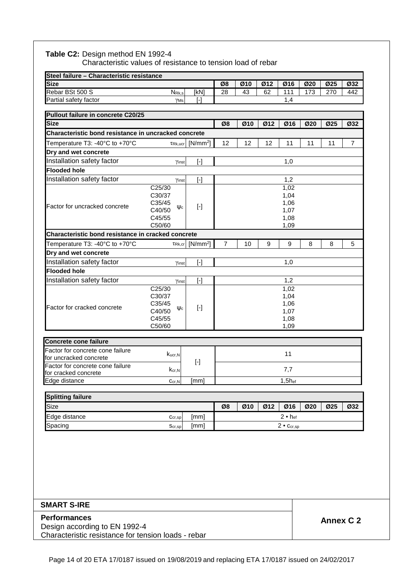|                                                      | Steel failure - Characteristic resistance |                                                                                                                                                                                                                                                                                                                                                                                                                                                                                                                                                                                                                                                                                                                                                                                                                                                                                                                            |                |     |     |                     |     |     |                |
|------------------------------------------------------|-------------------------------------------|----------------------------------------------------------------------------------------------------------------------------------------------------------------------------------------------------------------------------------------------------------------------------------------------------------------------------------------------------------------------------------------------------------------------------------------------------------------------------------------------------------------------------------------------------------------------------------------------------------------------------------------------------------------------------------------------------------------------------------------------------------------------------------------------------------------------------------------------------------------------------------------------------------------------------|----------------|-----|-----|---------------------|-----|-----|----------------|
| <b>Size</b>                                          |                                           |                                                                                                                                                                                                                                                                                                                                                                                                                                                                                                                                                                                                                                                                                                                                                                                                                                                                                                                            | Ø8             | Ø10 | Ø12 | Ø16                 | Ø20 | Ø25 | Ø32            |
| Rebar BSt 500 S                                      | $N_{\rm Rk,s}$                            | [kN]                                                                                                                                                                                                                                                                                                                                                                                                                                                                                                                                                                                                                                                                                                                                                                                                                                                                                                                       | 28             | 43  | 62  | 111                 | 173 | 270 | 442            |
| Partial safety factor                                | YMs                                       | $[\cdot]$                                                                                                                                                                                                                                                                                                                                                                                                                                                                                                                                                                                                                                                                                                                                                                                                                                                                                                                  |                |     |     | 1,4                 |     |     |                |
| Pullout failure in concrete C20/25                   |                                           |                                                                                                                                                                                                                                                                                                                                                                                                                                                                                                                                                                                                                                                                                                                                                                                                                                                                                                                            |                |     |     |                     |     |     |                |
| <b>Size</b>                                          |                                           |                                                                                                                                                                                                                                                                                                                                                                                                                                                                                                                                                                                                                                                                                                                                                                                                                                                                                                                            | Ø8             | Ø10 | Ø12 | Ø16                 | Ø20 | Ø25 | Ø32            |
| Characteristic bond resistance in uncracked concrete |                                           |                                                                                                                                                                                                                                                                                                                                                                                                                                                                                                                                                                                                                                                                                                                                                                                                                                                                                                                            |                |     |     |                     |     |     |                |
| Temperature T3: -40°C to +70°C                       | $TRk,$ ucr                                | $[N/mm^2]$                                                                                                                                                                                                                                                                                                                                                                                                                                                                                                                                                                                                                                                                                                                                                                                                                                                                                                                 | 12             | 12  | 12  | 11                  | 11  | 11  | $\overline{7}$ |
| Dry and wet concrete                                 |                                           |                                                                                                                                                                                                                                                                                                                                                                                                                                                                                                                                                                                                                                                                                                                                                                                                                                                                                                                            |                |     |     |                     |     |     |                |
| Installation safety factor                           | Yinst                                     | $[\cdot] % \centering \includegraphics[width=0.9\textwidth]{images/TrDiS/N-Architecture.png} % \caption{The first two different values of $N$ in the left and right.} \label{TrDiS/N-Architecture} %$                                                                                                                                                                                                                                                                                                                                                                                                                                                                                                                                                                                                                                                                                                                      |                |     |     | 1,0                 |     |     |                |
| <b>Flooded hole</b>                                  |                                           |                                                                                                                                                                                                                                                                                                                                                                                                                                                                                                                                                                                                                                                                                                                                                                                                                                                                                                                            |                |     |     |                     |     |     |                |
| Installation safety factor                           | Yinst                                     | $[\cdot]$                                                                                                                                                                                                                                                                                                                                                                                                                                                                                                                                                                                                                                                                                                                                                                                                                                                                                                                  |                |     |     | 1,2                 |     |     |                |
|                                                      | C25/30                                    |                                                                                                                                                                                                                                                                                                                                                                                                                                                                                                                                                                                                                                                                                                                                                                                                                                                                                                                            |                |     |     | 1,02                |     |     |                |
|                                                      | C30/37<br>C35/45                          |                                                                                                                                                                                                                                                                                                                                                                                                                                                                                                                                                                                                                                                                                                                                                                                                                                                                                                                            |                |     |     | 1,04<br>1,06        |     |     |                |
| Factor for uncracked concrete                        | $\Psi$ c<br>C40/50                        | $[\cdot]$                                                                                                                                                                                                                                                                                                                                                                                                                                                                                                                                                                                                                                                                                                                                                                                                                                                                                                                  |                |     |     | 1,07                |     |     |                |
|                                                      | C45/55                                    |                                                                                                                                                                                                                                                                                                                                                                                                                                                                                                                                                                                                                                                                                                                                                                                                                                                                                                                            |                |     |     | 1,08                |     |     |                |
|                                                      | C50/60                                    |                                                                                                                                                                                                                                                                                                                                                                                                                                                                                                                                                                                                                                                                                                                                                                                                                                                                                                                            |                |     |     | 1,09                |     |     |                |
| Characteristic bond resistance in cracked concrete   |                                           |                                                                                                                                                                                                                                                                                                                                                                                                                                                                                                                                                                                                                                                                                                                                                                                                                                                                                                                            |                |     |     |                     |     |     |                |
| Temperature T3: -40°C to +70°C                       | TRk, cr                                   | $[N/mm^2]$                                                                                                                                                                                                                                                                                                                                                                                                                                                                                                                                                                                                                                                                                                                                                                                                                                                                                                                 | $\overline{7}$ | 10  | 9   | 9                   | 8   | 8   | 5              |
| Dry and wet concrete                                 |                                           |                                                                                                                                                                                                                                                                                                                                                                                                                                                                                                                                                                                                                                                                                                                                                                                                                                                                                                                            |                |     |     |                     |     |     |                |
| Installation safety factor                           | Yinst                                     | $[\cdot] % \centering \includegraphics[width=0.9\textwidth]{images/TrDiM-Architecture.png} % \caption{The first two different values of $S$ and $S$ are shown in the left, the first two different values of $S$ and $S$ are shown in the right, and the second two different values of $S$ are shown in the right, and the second two different values of $S$ are shown in the right, and the second two different values of $S$ are shown in the right, and the third two different values of $S$ are shown in the right, and the third two different values of $S$ are shown in the right, and the third two different values of $S$ are shown in the right, and the third two different values of $S$ are shown in the right, and the third two different values of $S$ are shown in the right, and the third two different values of $S$ are shown in the right, and the third two$                                   |                |     |     | 1,0                 |     |     |                |
| <b>Flooded hole</b>                                  |                                           |                                                                                                                                                                                                                                                                                                                                                                                                                                                                                                                                                                                                                                                                                                                                                                                                                                                                                                                            |                |     |     |                     |     |     |                |
| Installation safety factor                           | Yinst                                     | $[\cdot] % \centering \includegraphics[width=0.9\textwidth]{images/TrDiM-Architecture.png} % \caption{The first two different values of $S$ and $S$ are shown in the left and right.} \label{TrDiS} %$                                                                                                                                                                                                                                                                                                                                                                                                                                                                                                                                                                                                                                                                                                                     |                |     |     | 1,2                 |     |     |                |
|                                                      | C25/30<br>C30/37                          |                                                                                                                                                                                                                                                                                                                                                                                                                                                                                                                                                                                                                                                                                                                                                                                                                                                                                                                            |                |     |     | 1,02                |     |     |                |
|                                                      | C35/45                                    |                                                                                                                                                                                                                                                                                                                                                                                                                                                                                                                                                                                                                                                                                                                                                                                                                                                                                                                            |                |     |     | 1,04<br>1,06        |     |     |                |
| Factor for cracked concrete                          | $\Psi$ c<br>C40/50                        | $[\cdot]$                                                                                                                                                                                                                                                                                                                                                                                                                                                                                                                                                                                                                                                                                                                                                                                                                                                                                                                  |                |     |     | 1,07                |     |     |                |
|                                                      | C45/55                                    |                                                                                                                                                                                                                                                                                                                                                                                                                                                                                                                                                                                                                                                                                                                                                                                                                                                                                                                            |                |     |     | 1,08                |     |     |                |
|                                                      | C50/60                                    |                                                                                                                                                                                                                                                                                                                                                                                                                                                                                                                                                                                                                                                                                                                                                                                                                                                                                                                            |                |     |     | 1,09                |     |     |                |
| <b>Concrete cone failure</b>                         |                                           |                                                                                                                                                                                                                                                                                                                                                                                                                                                                                                                                                                                                                                                                                                                                                                                                                                                                                                                            |                |     |     |                     |     |     |                |
| Factor for concrete cone failure                     |                                           |                                                                                                                                                                                                                                                                                                                                                                                                                                                                                                                                                                                                                                                                                                                                                                                                                                                                                                                            |                |     |     |                     |     |     |                |
| for uncracked concrete                               | Kucr.N                                    | $[\cdot] % \centering \includegraphics[width=0.9\textwidth]{images/TrDiS/N-Architecture.png} % \caption{The first two different values of the parameter $\{X,Y\}$ and the first two different values of the parameter $\{X,Y\}$ and the second two different values of the parameter $\{X,Y\}$ and the second two different values of the parameter $\{X,Y\}$ and the second two different values of the parameter $\{X,Y\}$ and the second two different values of the parameter $\{X,Y\}$ and the second two different values of the parameter $\{X,Y\}$ and the second two different values of the parameter $\{X,Y\}$ and the second two different values of the parameter $\{X,Y\}$ and the second two different values of the parameter $\{X,Y\}$ and the second two different values of the parameter $\{X,Y\}$ and the second two different values of the parameter $\{X,Y\}$ and the second two different values$ |                |     |     | 11                  |     |     |                |
| Factor for concrete cone failure                     | $k_{cr,N}$                                |                                                                                                                                                                                                                                                                                                                                                                                                                                                                                                                                                                                                                                                                                                                                                                                                                                                                                                                            |                |     |     | 7,7                 |     |     |                |
| for cracked concrete<br>Edge distance                | $C_{cr,N}$                                | [mm]                                                                                                                                                                                                                                                                                                                                                                                                                                                                                                                                                                                                                                                                                                                                                                                                                                                                                                                       |                |     |     | $1,5h$ ef           |     |     |                |
|                                                      |                                           |                                                                                                                                                                                                                                                                                                                                                                                                                                                                                                                                                                                                                                                                                                                                                                                                                                                                                                                            |                |     |     |                     |     |     |                |
| <b>Splitting failure</b>                             |                                           |                                                                                                                                                                                                                                                                                                                                                                                                                                                                                                                                                                                                                                                                                                                                                                                                                                                                                                                            |                |     |     |                     |     |     |                |
| Size                                                 |                                           |                                                                                                                                                                                                                                                                                                                                                                                                                                                                                                                                                                                                                                                                                                                                                                                                                                                                                                                            | Ø8             | Ø10 | Ø12 | Ø16                 | Ø20 | Ø25 | Ø32            |
| Edge distance                                        | $Ccr,$ sp                                 | [mm]                                                                                                                                                                                                                                                                                                                                                                                                                                                                                                                                                                                                                                                                                                                                                                                                                                                                                                                       |                |     |     | $2 •$ hef           |     |     |                |
|                                                      | Scr, sp                                   | [mm]                                                                                                                                                                                                                                                                                                                                                                                                                                                                                                                                                                                                                                                                                                                                                                                                                                                                                                                       |                |     |     | $2 \cdot C_{cr,sp}$ |     |     |                |

Characteristic resistance for tension loads - rebar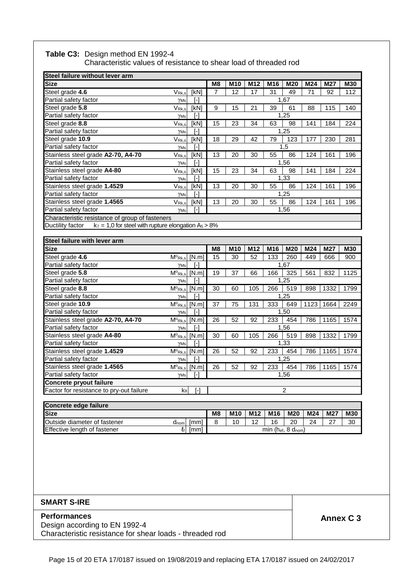#### **Table C3:** Design method EN 1992-4

Characteristic values of resistance to shear load of threaded rod

| Steel failure without lever arm                                               |                                                      |                                                                                                                                                                                                                                                                                                                                                                                                                                                                                                                                                                                                                                                                                                                                                                                  |                |                 |                 |     |                         |      |      |            |
|-------------------------------------------------------------------------------|------------------------------------------------------|----------------------------------------------------------------------------------------------------------------------------------------------------------------------------------------------------------------------------------------------------------------------------------------------------------------------------------------------------------------------------------------------------------------------------------------------------------------------------------------------------------------------------------------------------------------------------------------------------------------------------------------------------------------------------------------------------------------------------------------------------------------------------------|----------------|-----------------|-----------------|-----|-------------------------|------|------|------------|
| <b>Size</b>                                                                   |                                                      |                                                                                                                                                                                                                                                                                                                                                                                                                                                                                                                                                                                                                                                                                                                                                                                  | M <sub>8</sub> | M <sub>10</sub> | M <sub>12</sub> | M16 | M20                     | M24  | M27  | <b>M30</b> |
| Steel grade 4.6                                                               | $V_{\text{Rk},s}$                                    | [kN]                                                                                                                                                                                                                                                                                                                                                                                                                                                                                                                                                                                                                                                                                                                                                                             | $\overline{7}$ | 12              | 17              | 31  | 49                      | 71   | 92   | 112        |
| Partial safety factor                                                         | $\gamma$ <sub>Ms</sub>                               | $\lceil - \rceil$                                                                                                                                                                                                                                                                                                                                                                                                                                                                                                                                                                                                                                                                                                                                                                |                |                 |                 |     | 1,67                    |      |      |            |
| Steel grade 5.8                                                               | $V_{\text{Rk},s}$                                    | [kN]                                                                                                                                                                                                                                                                                                                                                                                                                                                                                                                                                                                                                                                                                                                                                                             | 9              | 15              | 21              | 39  | 61                      | 88   | 115  | 140        |
| Partial safety factor                                                         | $\gamma$ Ms                                          | $\lceil - \rceil$                                                                                                                                                                                                                                                                                                                                                                                                                                                                                                                                                                                                                                                                                                                                                                |                |                 |                 |     | 1,25                    |      |      |            |
| Steel grade 8.8                                                               | $V_{Rk,s}$                                           | [kN]                                                                                                                                                                                                                                                                                                                                                                                                                                                                                                                                                                                                                                                                                                                                                                             | 15             | 23              | 34              | 63  | 98                      | 141  | 184  | 224        |
| Partial safety factor                                                         | $\gamma$ Ms                                          | $[\cdot]$                                                                                                                                                                                                                                                                                                                                                                                                                                                                                                                                                                                                                                                                                                                                                                        |                |                 |                 |     | 1,25                    |      |      |            |
| Steel grade 10.9                                                              | V <sub>Rk,s</sub>                                    | [kN]                                                                                                                                                                                                                                                                                                                                                                                                                                                                                                                                                                                                                                                                                                                                                                             | 18             | 29              | 42              | 79  | 123                     | 177  | 230  | 281        |
| Partial safety factor                                                         | YMs                                                  | $\lbrack \cdot \rbrack$                                                                                                                                                                                                                                                                                                                                                                                                                                                                                                                                                                                                                                                                                                                                                          |                |                 |                 |     | 1,5                     |      |      |            |
| Stainless steel grade A2-70, A4-70                                            | V <sub>Rk,s</sub>                                    | [kN]                                                                                                                                                                                                                                                                                                                                                                                                                                                                                                                                                                                                                                                                                                                                                                             | 13             | 20              | 30              | 55  | 86                      | 124  | 161  | 196        |
| Partial safety factor                                                         | $\gamma$ Ms                                          | $\lceil - \rceil$                                                                                                                                                                                                                                                                                                                                                                                                                                                                                                                                                                                                                                                                                                                                                                |                |                 |                 |     | 1,56                    |      |      |            |
| Stainless steel grade A4-80                                                   | V <sub>Rk,s</sub>                                    | [kN]                                                                                                                                                                                                                                                                                                                                                                                                                                                                                                                                                                                                                                                                                                                                                                             | 15             | 23              | 34              | 63  | 98                      | 141  | 184  | 224        |
| Partial safety factor                                                         | γMs                                                  | $[\cdot] % \centering \includegraphics[width=0.9\textwidth]{images/TrDiS/N-Architecture.png} % \caption{The first two different values of $N$ in the left and right.} \label{TrDiS/N-Architecture} %$                                                                                                                                                                                                                                                                                                                                                                                                                                                                                                                                                                            |                |                 |                 |     | 1,33                    |      |      |            |
| Stainless steel grade 1.4529                                                  | $V_{\mathsf{Rk},s}$                                  | [kN]                                                                                                                                                                                                                                                                                                                                                                                                                                                                                                                                                                                                                                                                                                                                                                             | 13             | 20              | 30              | 55  | 86                      | 124  | 161  | 196        |
| Partial safety factor                                                         | $\gamma$ Ms                                          | $[$                                                                                                                                                                                                                                                                                                                                                                                                                                                                                                                                                                                                                                                                                                                                                                              |                |                 |                 |     | 1,25                    |      |      |            |
| Stainless steel grade 1.4565                                                  | $V_{\mathsf{Rk},\mathsf{s}}$                         | [kN]                                                                                                                                                                                                                                                                                                                                                                                                                                                                                                                                                                                                                                                                                                                                                                             | 13             | 20              | 30              | 55  | 86                      | 124  | 161  | 196        |
| Partial safety factor                                                         | γMs                                                  | $[\cdot]$                                                                                                                                                                                                                                                                                                                                                                                                                                                                                                                                                                                                                                                                                                                                                                        |                |                 |                 |     | 1,56                    |      |      |            |
| Characteristic resistance of group of fasteners                               |                                                      |                                                                                                                                                                                                                                                                                                                                                                                                                                                                                                                                                                                                                                                                                                                                                                                  |                |                 |                 |     |                         |      |      |            |
| $k_7 = 1.0$ for steel with rupture elongation $A_5 > 8\%$<br>Ductility factor |                                                      |                                                                                                                                                                                                                                                                                                                                                                                                                                                                                                                                                                                                                                                                                                                                                                                  |                |                 |                 |     |                         |      |      |            |
|                                                                               |                                                      |                                                                                                                                                                                                                                                                                                                                                                                                                                                                                                                                                                                                                                                                                                                                                                                  |                |                 |                 |     |                         |      |      |            |
| Steel failure with lever arm                                                  |                                                      |                                                                                                                                                                                                                                                                                                                                                                                                                                                                                                                                                                                                                                                                                                                                                                                  |                |                 |                 |     |                         |      |      |            |
|                                                                               |                                                      |                                                                                                                                                                                                                                                                                                                                                                                                                                                                                                                                                                                                                                                                                                                                                                                  |                |                 |                 |     |                         |      |      |            |
| <b>Size</b>                                                                   |                                                      |                                                                                                                                                                                                                                                                                                                                                                                                                                                                                                                                                                                                                                                                                                                                                                                  | M8             | M10             | M12             | M16 | M20                     | M24  | M27  | <b>M30</b> |
| Steel grade 4.6                                                               | $M^o$ Rk,s                                           | [N.m]                                                                                                                                                                                                                                                                                                                                                                                                                                                                                                                                                                                                                                                                                                                                                                            | 15             | 30              | 52              | 133 | 260                     | 449  | 666  | 900        |
| Partial safety factor                                                         | $\gamma$ Ms                                          | [-]                                                                                                                                                                                                                                                                                                                                                                                                                                                                                                                                                                                                                                                                                                                                                                              |                |                 |                 |     | 1,67                    |      |      |            |
| Steel grade 5.8                                                               | $\overline{\mathsf{M}}{}^{\text{o}}$ <sub>Rk,s</sub> | [N.m]                                                                                                                                                                                                                                                                                                                                                                                                                                                                                                                                                                                                                                                                                                                                                                            | 19             | 37              | 66              | 166 | 325                     | 561  | 832  | 1125       |
| Partial safety factor                                                         | $\gamma$ Ms                                          | $[\cdot] % \centering \includegraphics[width=0.9\textwidth]{images/TrDiS/N-Architecture.png} % \caption{The first two different values of $N$ in the \mbox{thick model} and the second two different values of $N$ in the \mbox{thick model} and the second two different values of $N$ in the \mbox{thick model} and the second two different values of $N$ in the \mbox{thick model} and the second two different values of $N$ in the \mbox{thick model} and the second two different values of $N$ in the \mbox{thick model} and the third two different values of $N$ in the \mbox{thick model} and the third two different values of $N$ in the \mbox{thick model} and the third two different values of $N$ in the \mbox{thick model} and the third two different values$ |                |                 |                 |     | 1,25                    |      |      |            |
| Steel grade 8.8                                                               | $M^o$ Rk,s                                           | [N.m]                                                                                                                                                                                                                                                                                                                                                                                                                                                                                                                                                                                                                                                                                                                                                                            | 30             | 60              | 105             | 266 | 519                     | 898  | 1332 | 1799       |
| Partial safety factor                                                         | YMs                                                  | ŀ1                                                                                                                                                                                                                                                                                                                                                                                                                                                                                                                                                                                                                                                                                                                                                                               |                |                 |                 |     | 1,25                    |      |      |            |
| Steel grade 10.9                                                              | $M^o$ Rk,s                                           | [N.m]                                                                                                                                                                                                                                                                                                                                                                                                                                                                                                                                                                                                                                                                                                                                                                            | 37             | 75              | 131             | 333 | 649                     | 1123 | 1664 | 2249       |
| Partial safety factor                                                         | $\gamma$ Ms                                          | $\lceil - \rceil$                                                                                                                                                                                                                                                                                                                                                                                                                                                                                                                                                                                                                                                                                                                                                                |                |                 |                 |     | 1,50                    |      |      |            |
| Stainless steel grade A2-70, A4-70                                            | $M^o$ <sub>Rk,s</sub>                                | [N.m]                                                                                                                                                                                                                                                                                                                                                                                                                                                                                                                                                                                                                                                                                                                                                                            | 26             | 52              | 92              | 233 | 454                     | 786  | 1165 | 1574       |
| Partial safety factor                                                         | γMs                                                  | H                                                                                                                                                                                                                                                                                                                                                                                                                                                                                                                                                                                                                                                                                                                                                                                |                |                 |                 |     | 1,56                    |      |      |            |
| Stainless steel grade A4-80                                                   | $M^o$ Rk,s                                           | [N.m]                                                                                                                                                                                                                                                                                                                                                                                                                                                                                                                                                                                                                                                                                                                                                                            | 30             | 60              | 105             | 266 | 519                     | 898  | 1332 | 1799       |
| Partial safety factor                                                         | $\gamma$ Ms                                          | [-]                                                                                                                                                                                                                                                                                                                                                                                                                                                                                                                                                                                                                                                                                                                                                                              |                |                 |                 |     | 1,33                    |      |      |            |
| Stainless steel grade 1.4529                                                  | $M^o$ <sub>Rk,s</sub>                                | [N.m]                                                                                                                                                                                                                                                                                                                                                                                                                                                                                                                                                                                                                                                                                                                                                                            | 26             | 52              | 92              | 233 | 454                     | 786  | 1165 | 1574       |
| Partial safety factor                                                         | $\gamma$ Ms                                          | $\lceil - \rceil$                                                                                                                                                                                                                                                                                                                                                                                                                                                                                                                                                                                                                                                                                                                                                                |                |                 |                 |     | 1,25                    |      |      |            |
| Stainless steel grade 1.4565                                                  | $M^o$ <sub>Rk,s</sub>                                | [N.m]                                                                                                                                                                                                                                                                                                                                                                                                                                                                                                                                                                                                                                                                                                                                                                            | 26             | 52              | 92              | 233 | 454                     | 786  | 1165 | 1574       |
| Partial safety factor                                                         | $\gamma$ Ms                                          | $[\cdot]$                                                                                                                                                                                                                                                                                                                                                                                                                                                                                                                                                                                                                                                                                                                                                                        |                |                 |                 |     | 1,56                    |      |      |            |
| <b>Concrete pryout failure</b>                                                |                                                      |                                                                                                                                                                                                                                                                                                                                                                                                                                                                                                                                                                                                                                                                                                                                                                                  |                |                 |                 |     |                         |      |      |            |
| Factor for resistance to pry-out failure                                      | k8                                                   | ſ-1                                                                                                                                                                                                                                                                                                                                                                                                                                                                                                                                                                                                                                                                                                                                                                              |                |                 |                 |     | 2                       |      |      |            |
|                                                                               |                                                      |                                                                                                                                                                                                                                                                                                                                                                                                                                                                                                                                                                                                                                                                                                                                                                                  |                |                 |                 |     |                         |      |      |            |
| Concrete edge failure                                                         |                                                      |                                                                                                                                                                                                                                                                                                                                                                                                                                                                                                                                                                                                                                                                                                                                                                                  |                |                 |                 |     |                         |      |      |            |
| <b>Size</b>                                                                   |                                                      |                                                                                                                                                                                                                                                                                                                                                                                                                                                                                                                                                                                                                                                                                                                                                                                  | M <sub>8</sub> | M10             | M12             | M16 | M20                     | M24  | M27  | M30        |
| Outside diameter of fastener<br><b>Effective length of fastener</b>           | d <sub>nom</sub><br>$\ell_{\rm f}$                   | [mm]<br>[mm]                                                                                                                                                                                                                                                                                                                                                                                                                                                                                                                                                                                                                                                                                                                                                                     | 8              | 10              | 12              | 16  | 20<br>min (hef, 8 dnom) | 24   | 27   | 30         |

| <b>SMART S-IRE</b>                                       |           |
|----------------------------------------------------------|-----------|
| <b>Performances</b>                                      | Annex C 3 |
| Design according to EN 1992-4                            |           |
| Characteristic resistance for shear loads - threaded rod |           |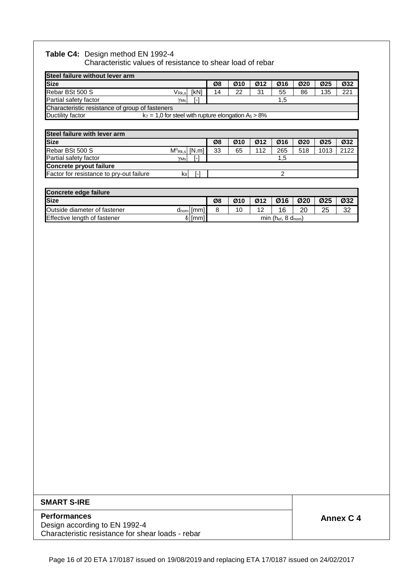# **Table C4:** Design method EN 1992-4

Characteristic values of resistance to shear load of rebar

| Steel failure without lever arm                                               |             |    |     |     |     |     |                 |     |  |
|-------------------------------------------------------------------------------|-------------|----|-----|-----|-----|-----|-----------------|-----|--|
| <b>Size</b>                                                                   |             | Ø8 | Ø10 | Ø12 | Ø16 | Ø20 | Ø <sub>25</sub> | Ø32 |  |
| Rebar BSt 500 S<br>$\mathsf{V}_{\mathsf{Rk}.\mathsf{s}}$                      | <b>IkN1</b> | 14 | 22  | 31  | 55  | 86  | 135             | 221 |  |
| Partial safety factor<br>$Y$ Ms                                               | I-1<br>1.5  |    |     |     |     |     |                 |     |  |
| Characteristic resistance of group of fasteners                               |             |    |     |     |     |     |                 |     |  |
| $k_7 = 1.0$ for steel with rupture elongation $A_5 > 8\%$<br>Ductility factor |             |    |     |     |     |     |                 |     |  |

| Steel failure with lever arm             |        |                    |    |     |     |     |     |                 |      |
|------------------------------------------|--------|--------------------|----|-----|-----|-----|-----|-----------------|------|
| <b>Size</b>                              |        |                    | Ø8 | Ø10 | Ø12 | Ø16 | Ø20 | Ø <sub>25</sub> | Ø32  |
| Rebar BSt 500 S                          |        | $M^o_{Rk,s}$ [N.m] | 33 | 65  | 112 | 265 | 518 | 1013            | 2122 |
| Partial safety factor                    | $Y$ Ms | r-1                |    |     |     | 1.5 |     |                 |      |
| <b>Concrete pryout failure</b>           |        |                    |    |     |     |     |     |                 |      |
| Factor for resistance to pry-out failure | ksl    | L.                 |    |     |     |     |     |                 |      |

| Concrete edge failure                                                                  |  |    |     |     |     |     |     |     |  |
|----------------------------------------------------------------------------------------|--|----|-----|-----|-----|-----|-----|-----|--|
| <b>Size</b>                                                                            |  | Ø8 | Ø10 | Ø12 | Ø16 | Ø20 | Ø25 | Ø32 |  |
| Outside diameter of fastener<br>$d_{nom}$   [mm]                                       |  |    | 10  | 12  |     | 20  | 25  | 32  |  |
| Effective length of fastener<br>min ( $h_{ef}$ , 8 $d_{nom}$ )<br>{ <sub>f</sub>  [mm] |  |    |     |     |     |     |     |     |  |

#### **SMART S-IRE**

### **Performances Annex C 4**

Design according to EN 1992-4 Characteristic resistance for shear loads - rebar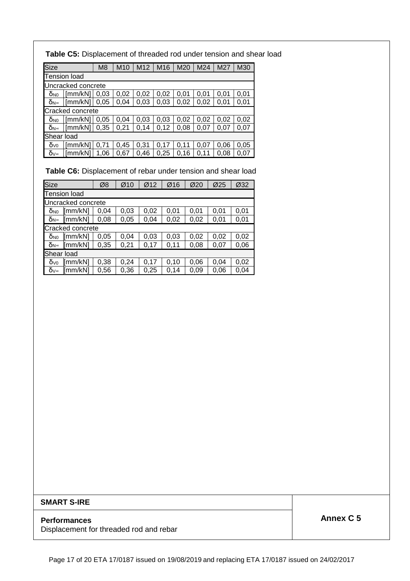**Table C5:** Displacement of threaded rod under tension and shear load

| <b>Size</b>           |                     | M <sub>8</sub> | M <sub>10</sub> | M <sub>12</sub> | M16  | M20  | M24  | M27  | M30  |  |  |
|-----------------------|---------------------|----------------|-----------------|-----------------|------|------|------|------|------|--|--|
|                       | <b>Tension load</b> |                |                 |                 |      |      |      |      |      |  |  |
|                       | Uncracked concrete  |                |                 |                 |      |      |      |      |      |  |  |
| <b>O<sub>NO</sub></b> | [mm/kN]             | 0.03           | 0,02            | 0,02            | 0,02 | 0,01 | 0.01 | 0.01 | 0,01 |  |  |
| δ <sub>N∞</sub>       | [mm/kN]             | 0.05           | 0,04            | 0,03            | 0,03 | 0,02 | 0,02 | 0.01 | 0,01 |  |  |
|                       | Cracked concrete    |                |                 |                 |      |      |      |      |      |  |  |
| <b>O<sub>NO</sub></b> | [mm/kN]             | 0.05           | 0,04            | 0,03            | 0.03 | 0,02 | 0.02 | 0,02 | 0.02 |  |  |
| δ <sub>N∞</sub>       | [mm/kN]             | 0,35           | 0,21            | 0,14            | 0,12 | 0,08 | 0,07 | 0.07 | 0,07 |  |  |
|                       | Shear load          |                |                 |                 |      |      |      |      |      |  |  |
| $\delta v_0$          | [mm/kN]             | 0.71           | 0.45            | 0,31            | 0.17 | 0.11 | 0.07 | 0,06 | 0,05 |  |  |
| δ∨∞                   | [mm/kN]             | .06            | 0.67            | 0,46            | 0,25 | 0,16 | 0.11 | 0.08 | 0.07 |  |  |

**Table C6:** Displacement of rebar under tension and shear load

| Size                   |                     | Ø8   | Ø10  | Ø12  | Ø16  | Ø20  | Ø25  | Ø32  |  |  |
|------------------------|---------------------|------|------|------|------|------|------|------|--|--|
|                        | <b>Tension load</b> |      |      |      |      |      |      |      |  |  |
|                        | Uncracked concrete  |      |      |      |      |      |      |      |  |  |
| <b>O</b> <sub>NO</sub> | $\text{[mm/kN]}$    | 0.04 | 0,03 | 0,02 | 0,01 | 0,01 | 0,01 | 0,01 |  |  |
| δ <sub>N∞</sub>        | [mm/kN]             | 0,08 | 0,05 | 0,04 | 0,02 | 0,02 | 0,01 | 0,01 |  |  |
|                        | Cracked concrete    |      |      |      |      |      |      |      |  |  |
| $\delta_{N0}$          | $\text{[mm/kN]}$    | 0,05 | 0.04 | 0,03 | 0,03 | 0,02 | 0,02 | 0,02 |  |  |
| $\delta_{N^{\infty}}$  | $\text{[mm/kN]}$    | 0,35 | 0,21 | 0,17 | 0,11 | 0,08 | 0,07 | 0,06 |  |  |
| Shear load             |                     |      |      |      |      |      |      |      |  |  |
| $\delta v_0$           | [mm/kN]             | 0,38 | 0,24 | 0,17 | 0,10 | 0,06 | 0,04 | 0,02 |  |  |
| δ∨∞                    | $\text{[mm/kN]}$    | 0,56 | 0,36 | 0,25 | 0,14 | 0,09 | 0,06 | 0,04 |  |  |

#### **SMART S-IRE**

Displacement for threaded rod and rebar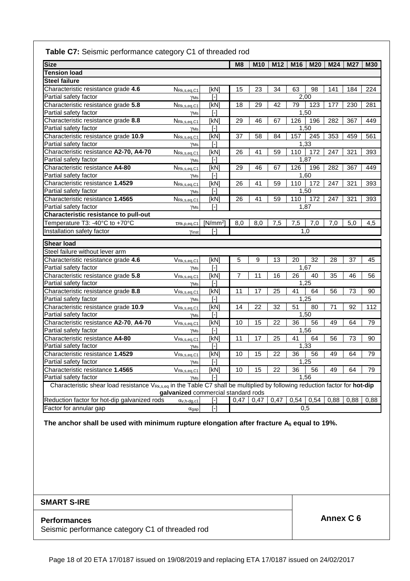## **Table C7:** Seismic performance category C1 of threaded rod

| <b>Size</b>                                                                                                                             |                                                                 |                                                                                                                                                                                                       | M8              | <b>M10</b> | M12  | M16             | <b>M20</b> | M24  | <b>M27</b> | <b>M30</b> |
|-----------------------------------------------------------------------------------------------------------------------------------------|-----------------------------------------------------------------|-------------------------------------------------------------------------------------------------------------------------------------------------------------------------------------------------------|-----------------|------------|------|-----------------|------------|------|------------|------------|
| <b>Tension load</b>                                                                                                                     |                                                                 |                                                                                                                                                                                                       |                 |            |      |                 |            |      |            |            |
| <b>Steel failure</b>                                                                                                                    |                                                                 |                                                                                                                                                                                                       |                 |            |      |                 |            |      |            |            |
| Characteristic resistance grade 4.6                                                                                                     | NRk, s, eq, C1                                                  | [kN]                                                                                                                                                                                                  | 15              | 23         | 34   | 63              | 98         | 141  | 184        | 224        |
| Partial safety factor                                                                                                                   | $\gamma$ Ms                                                     | $\lceil - \rceil$                                                                                                                                                                                     |                 |            |      | 2,00            |            |      |            |            |
| Characteristic resistance grade 5.8                                                                                                     | NRk, s, eq, C1                                                  | [kN]                                                                                                                                                                                                  | 18              | 29         | 42   | 79              | 123        | 177  | 230        | 281        |
| Partial safety factor                                                                                                                   | $\gamma$ Ms                                                     | $[$                                                                                                                                                                                                   |                 |            |      | 1,50            |            |      |            |            |
| Characteristic resistance grade 8.8                                                                                                     | NRk, s, eq, C1                                                  | [kN]                                                                                                                                                                                                  | 29              | 46         | 67   | 126             | 196        | 282  | 367        | 449        |
| Partial safety factor                                                                                                                   | $\gamma$ Ms                                                     | $\lceil - \rceil$                                                                                                                                                                                     |                 |            |      | 1,50            |            |      |            |            |
| Characteristic resistance grade 10.9                                                                                                    | NRk, s, eq, C1                                                  | [kN]                                                                                                                                                                                                  | 37              | 58         | 84   | 157             | 245        | 353  | 459        | 561        |
| Partial safety factor                                                                                                                   | $\gamma$ Ms                                                     | $\lceil - \rceil$                                                                                                                                                                                     |                 |            |      | 1.33            |            |      |            |            |
| Characteristic resistance A2-70, A4-70                                                                                                  | NRk, s, eq, C1                                                  | [kN]                                                                                                                                                                                                  | 26              | 41         | 59   | 110             | 172        | 247  | 321        | 393        |
| Partial safety factor                                                                                                                   | $\gamma$ Ms                                                     | $[\cdot] % \centering \includegraphics[width=0.9\textwidth]{images/TrDiS/N-Architecture.png} % \caption{The first two different values of $N$ in the left and right.} \label{TrDiS/N-Architecture} %$ |                 |            |      | 1,87            |            |      |            |            |
| Characteristic resistance A4-80                                                                                                         | NRk, s, eq, C1                                                  | [kN                                                                                                                                                                                                   | 29              | 46         | 67   | 126             | 196        | 282  | 367        | 449        |
| Partial safety factor                                                                                                                   | YMs                                                             | Ŀ1                                                                                                                                                                                                    |                 |            |      | 1,60            |            |      |            |            |
| Characteristic resistance 1.4529                                                                                                        | NRk, s, eq, C1                                                  | [kN]                                                                                                                                                                                                  | 26              | 41         | 59   | 110             | 172        | 247  | 321        | 393        |
| Partial safety factor                                                                                                                   | YMs                                                             | $\lceil - \rceil$                                                                                                                                                                                     |                 |            |      | 1,50            |            |      |            |            |
| Characteristic resistance 1.4565                                                                                                        | N <sub>Rk,s,eq,C1</sub>                                         | [kN]                                                                                                                                                                                                  | $\overline{26}$ | 41         | 59   | 110             | 172        | 247  | 321        | 393        |
| Partial safety factor                                                                                                                   | $\gamma$ Ms                                                     | ſ-1                                                                                                                                                                                                   |                 |            |      | 1,87            |            |      |            |            |
| <b>Characteristic resistance to pull-out</b>                                                                                            |                                                                 |                                                                                                                                                                                                       |                 |            |      |                 |            |      |            |            |
| Temperature T3: -40°C to +70°C                                                                                                          | TRk, p, eq, C1                                                  | $[N/mm^2]$                                                                                                                                                                                            | 8,0             | 8,0        | 7,5  | 7,5             | 7,0        | 7,0  | 5,0        | 4,5        |
| Installation safety factor                                                                                                              | Yinst                                                           | H                                                                                                                                                                                                     |                 |            |      | 1,0             |            |      |            |            |
| <b>Shear load</b>                                                                                                                       |                                                                 |                                                                                                                                                                                                       |                 |            |      |                 |            |      |            |            |
| Steel failure without lever arm                                                                                                         |                                                                 |                                                                                                                                                                                                       |                 |            |      |                 |            |      |            |            |
| Characteristic resistance grade 4.6                                                                                                     | $V_{\mathsf{Rk},\mathsf{s},\mathsf{eq},\mathsf{C1}}$            | [kN]                                                                                                                                                                                                  | 5               | 9          | 13   | 20              | 32         | 28   | 37         | 45         |
| Partial safety factor                                                                                                                   | $\gamma$ Ms                                                     | H                                                                                                                                                                                                     |                 |            |      | 1,67            |            |      |            |            |
| Characteristic resistance grade 5.8                                                                                                     | $V_{\mathsf{Rk},\mathsf{s},\mathsf{eq},\mathsf{C1}}$            | [kN]                                                                                                                                                                                                  | $\overline{7}$  | 11         | 16   | $\overline{26}$ | 40         | 35   | 46         | 56         |
| Partial safety factor                                                                                                                   | $\gamma$ <sub>Ms</sub>                                          | [-]                                                                                                                                                                                                   |                 |            |      | 1,25            |            |      |            |            |
| Characteristic resistance grade 8.8                                                                                                     | $V_{\mathsf{Rk}, s, \text{eq}, \mathsf{C1}}$                    | [kN]                                                                                                                                                                                                  | 11              | 17         | 25   | 41              | 64         | 56   | 73         | 90         |
| Partial safety factor                                                                                                                   | $\gamma$ <sub>Ms</sub>                                          | $\lceil - \rceil$                                                                                                                                                                                     |                 |            |      | 1.25            |            |      |            |            |
| Characteristic resistance grade 10.9                                                                                                    | $V_{\mathsf{Rk},\mathsf{s},\mathsf{eq},\mathsf{C1}}$            | [kN]                                                                                                                                                                                                  | 14              | 22         | 32   | 51              | 80         | 71   | 92         | 112        |
| Partial safety factor                                                                                                                   | $\gamma$ Ms                                                     | $[$                                                                                                                                                                                                   |                 |            |      | 1.50            |            |      |            |            |
| Characteristic resistance A2-70, A4-70                                                                                                  | VRk, s, eq, C1                                                  | [kN]                                                                                                                                                                                                  | 10              | 15         | 22   | 36              | 56         | 49   | 64         | 79         |
| Partial safety factor                                                                                                                   | $\gamma$ Ms                                                     | $\lceil - \rceil$                                                                                                                                                                                     |                 |            |      | 1,56            |            |      |            |            |
| Characteristic resistance A4-80                                                                                                         | VRk, s, eq, C1                                                  | [kN]                                                                                                                                                                                                  | 11              | 17         | 25   | 41              | 64         | 56   | 73         | 90         |
| Partial safety factor                                                                                                                   | $\gamma$ Ms                                                     | $\lceil \cdot \rceil$                                                                                                                                                                                 |                 |            |      | 1,33            |            |      |            |            |
| Characteristic resistance 1.4529                                                                                                        | $V_{\mathsf{Rk},\mathsf{s},\mathsf{eq},\mathsf{C1}}$            | [kN]                                                                                                                                                                                                  | 10              | 15         | 22   | 36              | 56         | 49   | 64         | 79         |
| Partial safety factor                                                                                                                   | $\gamma$ Ms                                                     | $[\cdot]$                                                                                                                                                                                             |                 |            |      | 1,25            |            |      |            |            |
| Characteristic resistance 1.4565                                                                                                        | $\overline{V}_{\mathsf{Rk},\mathsf{s},\mathsf{eq},\mathsf{C1}}$ | [kN]                                                                                                                                                                                                  | 10              | 15         | 22   | 36              | 56         | 49   | 64         | 79         |
| Partial safety factor                                                                                                                   | YMs                                                             | $\lceil - \rceil$                                                                                                                                                                                     |                 |            |      | 1,56            |            |      |            |            |
| Characteristic shear load resistance V <sub>Rk,s,eq</sub> in the Table C7 shall be multiplied by following reduction factor for hot-dip |                                                                 |                                                                                                                                                                                                       |                 |            |      |                 |            |      |            |            |
|                                                                                                                                         | galvanized commercial standard rods                             |                                                                                                                                                                                                       |                 |            |      |                 |            |      |            |            |
| Reduction factor for hot-dip galvanized rods                                                                                            | $\alpha$ <sub>v</sub> , h-dg, c1                                | ŀ1                                                                                                                                                                                                    | 0,47            | 0,47       | 0,47 | $0,54$ 0.54     |            | 0.88 | 0,88       | 0,88       |
| Factor for annular gap                                                                                                                  | $\alpha$ gap                                                    | $[\cdot]$                                                                                                                                                                                             |                 |            |      | 0,5             |            |      |            |            |

**The anchor shall be used with minimum rupture elongation after fracture A5 equal to 19%.** 

## **SMART S-IRE**

Seismic performance category C1 of threaded rod

**Performances Annex C 6**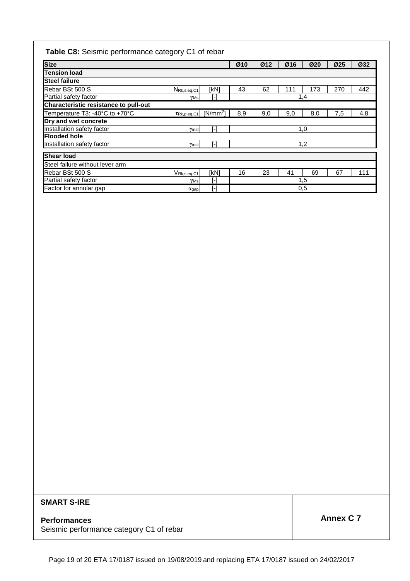# **Table C8:** Seismic performance category C1 of rebar

| <b>Size</b>                                  |                                                      |              | Ø10 | Ø12 | Ø16 | Ø20 | Ø25 | Ø32 |
|----------------------------------------------|------------------------------------------------------|--------------|-----|-----|-----|-----|-----|-----|
| <b>Tension load</b>                          |                                                      |              |     |     |     |     |     |     |
| <b>Steel failure</b>                         |                                                      |              |     |     |     |     |     |     |
| Rebar BSt 500 S                              | NRk, s, eq, C1                                       | [kN]         | 43  | 62  | 111 | 173 | 270 | 442 |
| Partial safety factor                        | γMs                                                  | ŀ1           |     |     |     | 1,4 |     |     |
| <b>Characteristic resistance to pull-out</b> |                                                      |              |     |     |     |     |     |     |
| Temperature T3: -40°C to +70°C               | TRk, p, eq, C1                                       | $[N/mm^2]$   | 8,9 | 9,0 | 9,0 | 8,0 | 7,5 | 4,8 |
| Dry and wet concrete                         |                                                      |              |     |     |     |     |     |     |
| Installation safety factor                   | Yinst                                                | ſ-1          |     |     |     | 1,0 |     |     |
| <b>Flooded hole</b>                          |                                                      |              |     |     |     |     |     |     |
| Installation safety factor                   | Yinst                                                | ſ-1          |     |     |     | 1,2 |     |     |
| <b>Shear load</b>                            |                                                      |              |     |     |     |     |     |     |
| Steel failure without lever arm              |                                                      |              |     |     |     |     |     |     |
| Rebar BSt 500 S                              | $V_{\mathsf{Rk},\mathsf{s},\mathsf{eq},\mathsf{C1}}$ | [kN]         | 16  | 23  | 41  | 69  | 67  | 111 |
| Partial safety factor                        | $\gamma$ Ms                                          | $\mathsf{F}$ |     |     |     | 1,5 |     |     |
| Factor for annular gap                       | $\alpha$ gap                                         | ſ-1          |     |     |     | 0,5 |     |     |

## **SMART S-IRE**

# **Performances Annex C 7**

Seismic performance category C1 of rebar